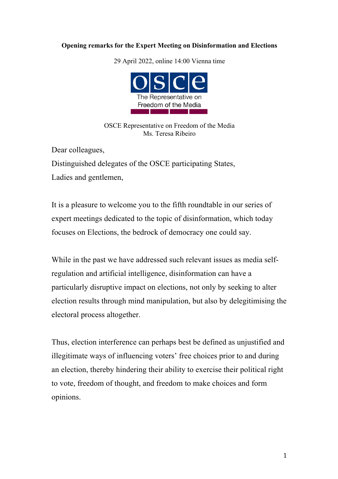## **Opening remarks for the Expert Meeting on Disinformation and Elections**

29 April 2022, online 14:00 Vienna time



OSCE Representative on Freedom of the Media Ms. Teresa Ribeiro

Dear colleagues,

Distinguished delegates of the OSCE participating States, Ladies and gentlemen,

It is a pleasure to welcome you to the fifth roundtable in our series of expert meetings dedicated to the topic of disinformation, which today focuses on Elections, the bedrock of democracy one could say.

While in the past we have addressed such relevant issues as media selfregulation and artificial intelligence, disinformation can have a particularly disruptive impact on elections, not only by seeking to alter election results through mind manipulation, but also by delegitimising the electoral process altogether.

Thus, election interference can perhaps best be defined as unjustified and illegitimate ways of influencing voters' free choices prior to and during an election, thereby hindering their ability to exercise their political right to vote, freedom of thought, and freedom to make choices and form opinions.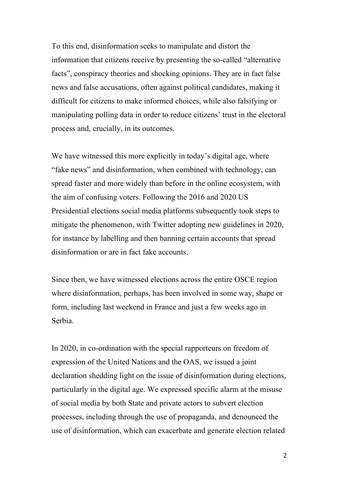To this end, disinformation seeks to manipulate and distort the information that citizens receive by presenting the so-called "alternative facts", conspiracy theories and shocking opinions. They are in fact false news and false accusations, often against political candidates, making it difficult for citizens to make informed choices, while also falsifying or manipulating polling data in order to reduce citizens' trust in the electoral process and, crucially, in its outcomes.

We have witnessed this more explicitly in today's digital age, where "fake news" and disinformation, when combined with technology, can spread faster and more widely than before in the online ecosystem, with the aim of confusing voters. Following the 2016 and 2020 US Presidential elections social media platforms subsequently took steps to mitigate the phenomenon, with Twitter adopting new guidelines in 2020, for instance by labelling and then banning certain accounts that spread disinformation or are in fact fake accounts.

Since then, we have witnessed elections across the entire OSCE region where disinformation, perhaps, has been involved in some way, shape or form, including last weekend in France and just a few weeks ago in Serbia.

In 2020, in co-ordination with the special rapporteurs on freedom of expression of the United Nations and the OAS, we issued a joint declaration shedding light on the issue of disinformation during elections, particularly in the digital age. We expressed specific alarm at the misuse of social media by both State and private actors to subvert election processes, including through the use of propaganda, and denounced the use of disinformation, which can exacerbate and generate election related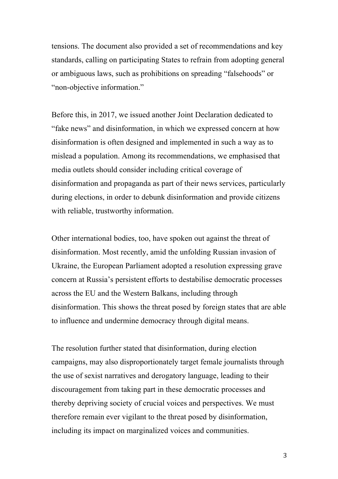tensions. The document also provided a set of recommendations and key standards, calling on participating States to refrain from adopting general or ambiguous laws, such as prohibitions on spreading "falsehoods" or "non-objective information."

Before this, in 2017, we issued another Joint Declaration dedicated to "fake news" and disinformation, in which we expressed concern at how disinformation is often designed and implemented in such a way as to mislead a population. Among its recommendations, we emphasised that media outlets should consider including critical coverage of disinformation and propaganda as part of their news services, particularly during elections, in order to debunk disinformation and provide citizens with reliable, trustworthy information.

Other international bodies, too, have spoken out against the threat of disinformation. Most recently, amid the unfolding Russian invasion of Ukraine, the European Parliament adopted a resolution expressing grave concern at Russia's persistent efforts to destabilise democratic processes across the EU and the Western Balkans, including through disinformation. This shows the threat posed by foreign states that are able to influence and undermine democracy through digital means.

The resolution further stated that disinformation, during election campaigns, may also disproportionately target female journalists through the use of sexist narratives and derogatory language, leading to their discouragement from taking part in these democratic processes and thereby depriving society of crucial voices and perspectives. We must therefore remain ever vigilant to the threat posed by disinformation, including its impact on marginalized voices and communities.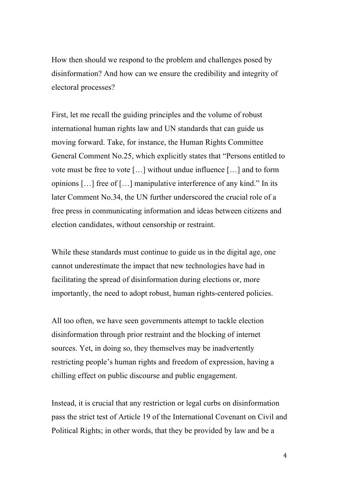How then should we respond to the problem and challenges posed by disinformation? And how can we ensure the credibility and integrity of electoral processes?

First, let me recall the guiding principles and the volume of robust international human rights law and UN standards that can guide us moving forward. Take, for instance, the Human Rights Committee General Comment No.25, which explicitly states that "Persons entitled to vote must be free to vote […] without undue influence […] and to form opinions […] free of […] manipulative interference of any kind." In its later Comment No.34, the UN further underscored the crucial role of a free press in communicating information and ideas between citizens and election candidates, without censorship or restraint.

While these standards must continue to guide us in the digital age, one cannot underestimate the impact that new technologies have had in facilitating the spread of disinformation during elections or, more importantly, the need to adopt robust, human rights-centered policies.

All too often, we have seen governments attempt to tackle election disinformation through prior restraint and the blocking of internet sources. Yet, in doing so, they themselves may be inadvertently restricting people's human rights and freedom of expression, having a chilling effect on public discourse and public engagement.

Instead, it is crucial that any restriction or legal curbs on disinformation pass the strict test of Article 19 of the International Covenant on Civil and Political Rights; in other words, that they be provided by law and be a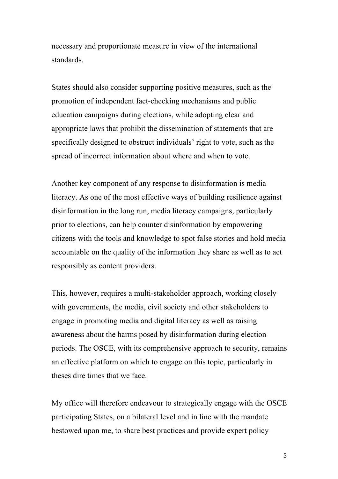necessary and proportionate measure in view of the international standards.

States should also consider supporting positive measures, such as the promotion of independent fact-checking mechanisms and public education campaigns during elections, while adopting clear and appropriate laws that prohibit the dissemination of statements that are specifically designed to obstruct individuals' right to vote, such as the spread of incorrect information about where and when to vote.

Another key component of any response to disinformation is media literacy. As one of the most effective ways of building resilience against disinformation in the long run, media literacy campaigns, particularly prior to elections, can help counter disinformation by empowering citizens with the tools and knowledge to spot false stories and hold media accountable on the quality of the information they share as well as to act responsibly as content providers.

This, however, requires a multi-stakeholder approach, working closely with governments, the media, civil society and other stakeholders to engage in promoting media and digital literacy as well as raising awareness about the harms posed by disinformation during election periods. The OSCE, with its comprehensive approach to security, remains an effective platform on which to engage on this topic, particularly in theses dire times that we face.

My office will therefore endeavour to strategically engage with the OSCE participating States, on a bilateral level and in line with the mandate bestowed upon me, to share best practices and provide expert policy